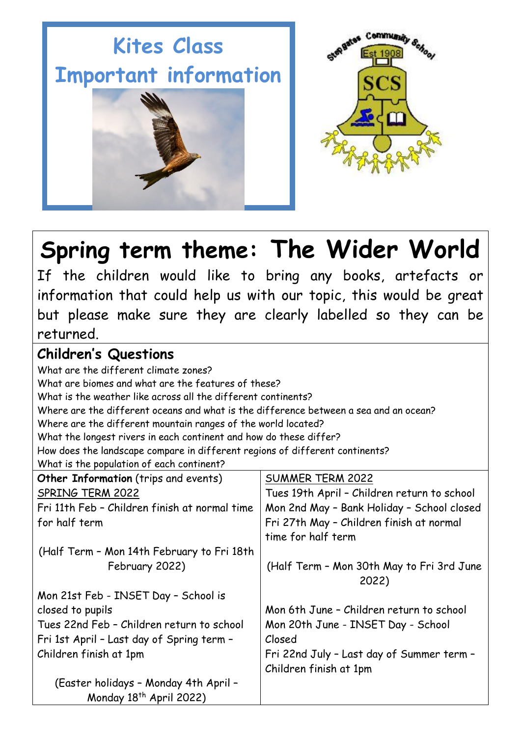# **Kites Class Important information**





## **Spring term theme: The Wider World**

If the children would like to bring any books, artefacts or information that could help us with our topic, this would be great but please make sure they are clearly labelled so they can be returned.

### **Children's Questions**

What are the different climate zones? What are biomes and what are the features of these? What is the weather like across all the different continents? Where are the different oceans and what is the difference between a sea and an ocean? Where are the different mountain ranges of the world located? What the longest rivers in each continent and how do these differ? How does the landscape compare in different regions of different continents? What is the population of each continent? **Other Information** (trips and events)  $\sqrt{\frac{1}{100}}$ 

| <b>Other Information</b> (Trips and events)   | SUMMER TERM 2022                                   |
|-----------------------------------------------|----------------------------------------------------|
| SPRING TERM 2022                              | Tues 19th April - Children return to school        |
| Fri 11th Feb - Children finish at normal time | Mon 2nd May - Bank Holiday - School closed         |
| for half term                                 | Fri 27th May - Children finish at normal           |
|                                               | time for half term                                 |
| (Half Term - Mon 14th February to Fri 18th    |                                                    |
| February 2022)                                | (Half Term - Mon 30th May to Fri 3rd June<br>2022) |
| Mon 21st Feb - INSET Day - School is          |                                                    |
| closed to pupils                              | Mon 6th June - Children return to school           |
| Tues 22nd Feb - Children return to school     | Mon 20th June - INSET Day - School                 |
| Fri 1st April - Last day of Spring term -     | Closed                                             |
| Children finish at 1pm                        | Fri 22nd July - Last day of Summer term -          |
|                                               | Children finish at 1pm                             |
| (Easter holidays - Monday 4th April -         |                                                    |
| Monday 18 <sup>th</sup> April 2022)           |                                                    |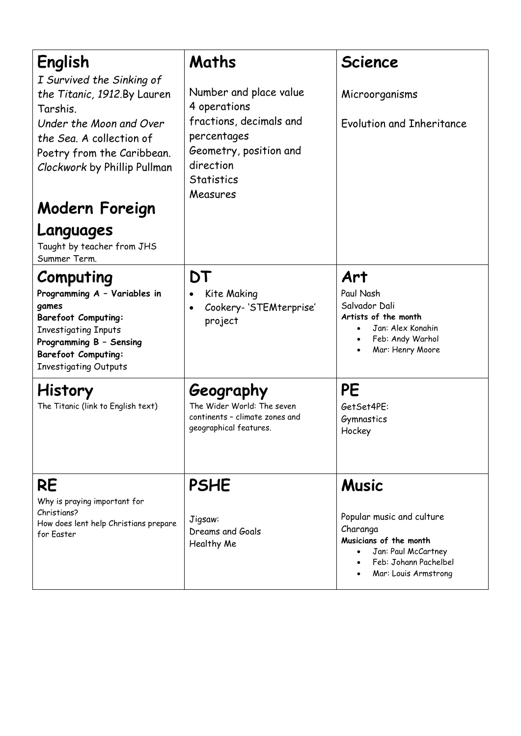| English<br>I Survived the Sinking of<br>the Titanic, 1912.By Lauren<br>Tarshis.<br>Under the Moon and Over<br>the Sea. A collection of<br>Poetry from the Caribbean.<br>Clockwork by Phillip Pullman     | Maths<br>Number and place value<br>4 operations<br>fractions, decimals and<br>percentages<br>Geometry, position and<br>direction | <b>Science</b><br>Microorganisms<br>Evolution and Inheritance                                                                                           |
|----------------------------------------------------------------------------------------------------------------------------------------------------------------------------------------------------------|----------------------------------------------------------------------------------------------------------------------------------|---------------------------------------------------------------------------------------------------------------------------------------------------------|
| Modern Foreign                                                                                                                                                                                           | <b>Statistics</b><br>Measures                                                                                                    |                                                                                                                                                         |
| Languages<br>Taught by teacher from JHS<br>Summer Term.                                                                                                                                                  |                                                                                                                                  |                                                                                                                                                         |
| Computing<br>Programming A - Variables in<br>games<br><b>Barefoot Computing:</b><br><b>Investigating Inputs</b><br>Programming B - Sensing<br><b>Barefoot Computing:</b><br><b>Investigating Outputs</b> | DT<br>Kite Making<br>Cookery-'STEMterprise'<br>$\bullet$<br>project                                                              | Art<br>Paul Nash<br>Salvador Dali<br>Artists of the month<br>Jan: Alex Konahin<br>$\bullet$<br>Feb: Andy Warhol<br>$\bullet$<br>Mar: Henry Moore        |
| <b>History</b><br>The Titanic (link to English text)                                                                                                                                                     | Geography<br>The Wider World: The seven<br>continents - climate zones and<br>geographical features.                              | PE<br>GetSet4PE:<br>Gymnastics<br>Hockey                                                                                                                |
| <b>RE</b><br>Why is praying important for<br>Christians?<br>How does lent help Christians prepare<br>for Easter                                                                                          | <b>PSHE</b><br>Jigsaw:<br>Dreams and Goals<br>Healthy Me                                                                         | <b>Music</b><br>Popular music and culture<br>Charanga<br>Musicians of the month<br>Jan: Paul McCartney<br>Feb: Johann Pachelbel<br>Mar: Louis Armstrong |